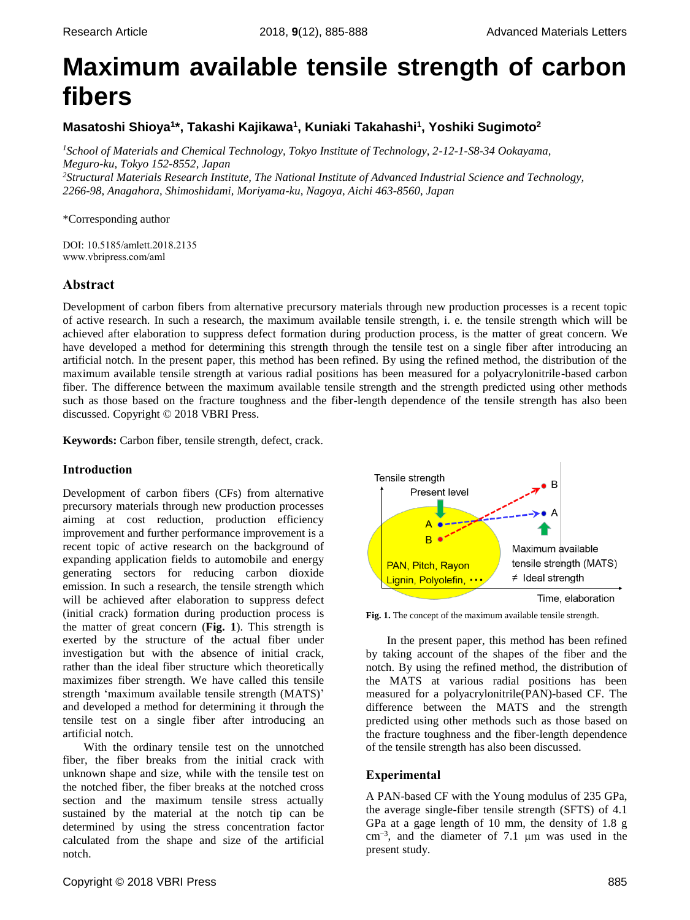# **Maximum available tensile strength of carbon fibers**

# **Masatoshi Shioya<sup>1</sup> \*, Takashi Kajikawa<sup>1</sup> , Kuniaki Takahashi<sup>1</sup> , Yoshiki Sugimoto<sup>2</sup>**

*<sup>1</sup>School of Materials and Chemical Technology, Tokyo Institute of Technology, 2-12-1-S8-34 Ookayama, Meguro-ku, Tokyo 152-8552, Japan <sup>2</sup>Structural Materials Research Institute, The National Institute of Advanced Industrial Science and Technology, 2266-98, Anagahora, Shimoshidami, Moriyama-ku, Nagoya, Aichi 463-8560, Japan*

## \*Corresponding author

DOI: 10.5185/amlett.2018.2135 www.vbripress.com/aml

# **Abstract**

Development of carbon fibers from alternative precursory materials through new production processes is a recent topic of active research. In such a research, the maximum available tensile strength, i. e. the tensile strength which will be achieved after elaboration to suppress defect formation during production process, is the matter of great concern. We have developed a method for determining this strength through the tensile test on a single fiber after introducing an artificial notch. In the present paper, this method has been refined. By using the refined method, the distribution of the maximum available tensile strength at various radial positions has been measured for a polyacrylonitrile-based carbon fiber. The difference between the maximum available tensile strength and the strength predicted using other methods such as those based on the fracture toughness and the fiber-length dependence of the tensile strength has also been discussed. Copyright © 2018 VBRI Press.

**Keywords:** Carbon fiber, tensile strength, defect, crack.

# **Introduction**

Development of carbon fibers (CFs) from alternative precursory materials through new production processes aiming at cost reduction, production efficiency improvement and further performance improvement is a recent topic of active research on the background of expanding application fields to automobile and energy generating sectors for reducing carbon dioxide emission. In such a research, the tensile strength which will be achieved after elaboration to suppress defect (initial crack) formation during production process is the matter of great concern (**Fig. 1**). This strength is exerted by the structure of the actual fiber under investigation but with the absence of initial crack, rather than the ideal fiber structure which theoretically maximizes fiber strength. We have called this tensile strength 'maximum available tensile strength (MATS)' and developed a method for determining it through the tensile test on a single fiber after introducing an artificial notch.

With the ordinary tensile test on the unnotched fiber, the fiber breaks from the initial crack with unknown shape and size, while with the tensile test on the notched fiber, the fiber breaks at the notched cross section and the maximum tensile stress actually sustained by the material at the notch tip can be determined by using the stress concentration factor calculated from the shape and size of the artificial notch.



**Fig. 1.** The concept of the maximum available tensile strength.

In the present paper, this method has been refined by taking account of the shapes of the fiber and the notch. By using the refined method, the distribution of the MATS at various radial positions has been measured for a polyacrylonitrile(PAN)-based CF. The difference between the MATS and the strength predicted using other methods such as those based on the fracture toughness and the fiber-length dependence of the tensile strength has also been discussed.

## **Experimental**

A PAN-based CF with the Young modulus of 235 GPa, the average single-fiber tensile strength (SFTS) of 4.1 GPa at a gage length of 10 mm, the density of 1.8 g cm−3 , and the diameter of 7.1 μm was used in the present study.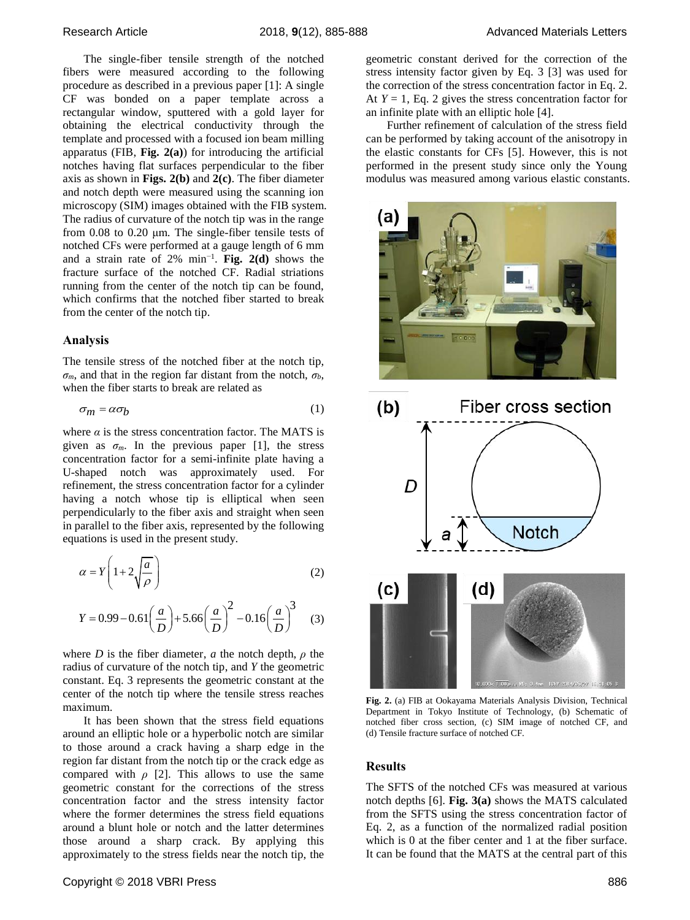The single-fiber tensile strength of the notched fibers were measured according to the following procedure as described in a previous paper [1]: A single CF was bonded on a paper template across a rectangular window, sputtered with a gold layer for obtaining the electrical conductivity through the template and processed with a focused ion beam milling apparatus (FIB, **Fig. 2(a)**) for introducing the artificial notches having flat surfaces perpendicular to the fiber axis as shown in **Figs. 2(b)** and **2(c)**. The fiber diameter and notch depth were measured using the scanning ion microscopy (SIM) images obtained with the FIB system. The radius of curvature of the notch tip was in the range from 0.08 to 0.20 μm. The single-fiber tensile tests of notched CFs were performed at a gauge length of 6 mm and a strain rate of 2% min−1 . **Fig. 2(d)** shows the fracture surface of the notched CF. Radial striations running from the center of the notch tip can be found, which confirms that the notched fiber started to break from the center of the notch tip.

#### **Analysis**

The tensile stress of the notched fiber at the notch tip,  $\sigma_m$ , and that in the region far distant from the notch,  $\sigma_b$ , when the fiber starts to break are related as

$$
\sigma_m = \alpha \sigma_b \tag{1}
$$

where  $\alpha$  is the stress concentration factor. The MATS is given as  $\sigma_m$ . In the previous paper [1], the stress concentration factor for a semi-infinite plate having a U-shaped notch was approximately used. For refinement, the stress concentration factor for a cylinder having a notch whose tip is elliptical when seen perpendicularly to the fiber axis and straight when seen in parallel to the fiber axis, represented by the following equations is used in the present study.

$$
\alpha = Y \left( 1 + 2 \sqrt{\frac{a}{\rho}} \right) \tag{2}
$$

$$
Y = 0.99 - 0.61 \left(\frac{a}{D}\right) + 5.66 \left(\frac{a}{D}\right)^2 - 0.16 \left(\frac{a}{D}\right)^3 \tag{3}
$$

where *D* is the fiber diameter, *a* the notch depth,  $\rho$  the radius of curvature of the notch tip, and *Y* the geometric constant. Eq. 3 represents the geometric constant at the center of the notch tip where the tensile stress reaches maximum.

It has been shown that the stress field equations around an elliptic hole or a hyperbolic notch are similar to those around a crack having a sharp edge in the region far distant from the notch tip or the crack edge as compared with  $\rho$  [2]. This allows to use the same geometric constant for the corrections of the stress concentration factor and the stress intensity factor where the former determines the stress field equations around a blunt hole or notch and the latter determines those around a sharp crack. By applying this approximately to the stress fields near the notch tip, the

geometric constant derived for the correction of the stress intensity factor given by Eq. 3 [3] was used for the correction of the stress concentration factor in Eq. 2. At  $Y = 1$ , Eq. 2 gives the stress concentration factor for an infinite plate with an elliptic hole [4].

Further refinement of calculation of the stress field can be performed by taking account of the anisotropy in the elastic constants for CFs [5]. However, this is not performed in the present study since only the Young modulus was measured among various elastic constants.





**Fig. 2.** (a) FIB at Ookayama Materials Analysis Division, Technical Department in Tokyo Institute of Technology, (b) Schematic of notched fiber cross section, (c) SIM image of notched CF, and (d) Tensile fracture surface of notched CF.

#### **Results**

The SFTS of the notched CFs was measured at various notch depths [6]. **Fig. 3(a)** shows the MATS calculated from the SFTS using the stress concentration factor of Eq. 2, as a function of the normalized radial position which is 0 at the fiber center and 1 at the fiber surface. It can be found that the MATS at the central part of this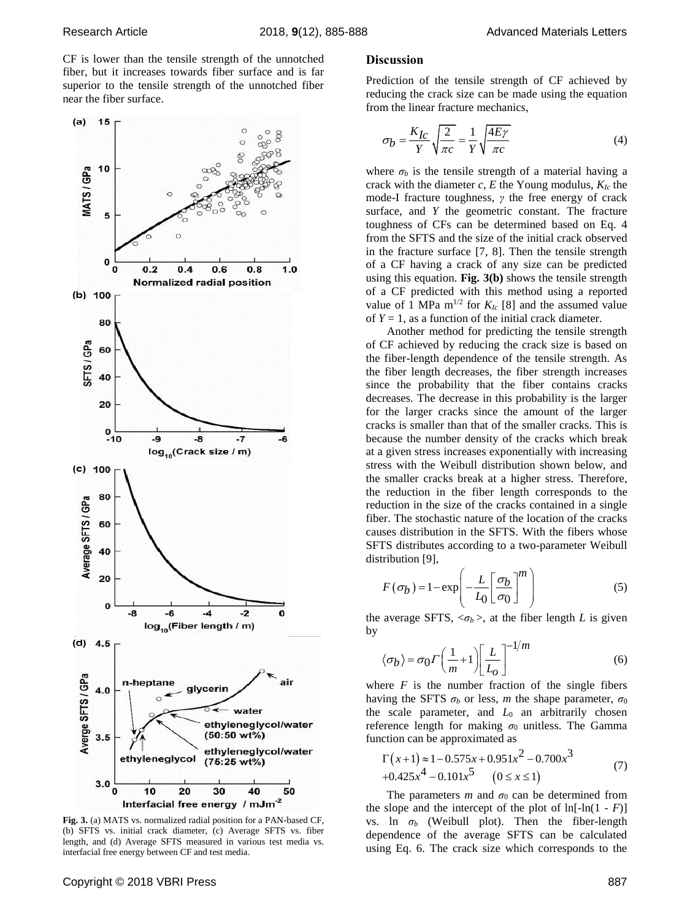CF is lower than the tensile strength of the unnotched fiber, but it increases towards fiber surface and is far superior to the tensile strength of the unnotched fiber near the fiber surface.



**Fig. 3.** (a) MATS vs. normalized radial position for a PAN-based CF, (b) SFTS vs. initial crack diameter, (c) Average SFTS vs. fiber length, and (d) Average SFTS measured in various test media vs. interfacial free energy between CF and test media.

## **Discussion**

Prediction of the tensile strength of CF achieved by reducing the crack size can be made using the equation from the linear fracture mechanics,

$$
\sigma_b = \frac{K_{Ic}}{Y} \sqrt{\frac{2}{\pi c}} = \frac{1}{Y} \sqrt{\frac{4E\gamma}{\pi c}}
$$
(4)

where  $\sigma_b$  is the tensile strength of a material having a crack with the diameter *c*, *E* the Young modulus, *KIc* the mode-I fracture toughness, *γ* the free energy of crack surface, and *Y* the geometric constant. The fracture toughness of CFs can be determined based on Eq. 4 from the SFTS and the size of the initial crack observed in the fracture surface [7, 8]. Then the tensile strength of a CF having a crack of any size can be predicted using this equation. **Fig. 3(b)** shows the tensile strength of a CF predicted with this method using a reported value of 1 MPa  $m^{1/2}$  for  $K_{Ic}$  [8] and the assumed value of  $Y = 1$ , as a function of the initial crack diameter.

Another method for predicting the tensile strength of CF achieved by reducing the crack size is based on the fiber-length dependence of the tensile strength. As the fiber length decreases, the fiber strength increases since the probability that the fiber contains cracks decreases. The decrease in this probability is the larger for the larger cracks since the amount of the larger cracks is smaller than that of the smaller cracks. This is because the number density of the cracks which break at a given stress increases exponentially with increasing stress with the Weibull distribution shown below, and the smaller cracks break at a higher stress. Therefore, the reduction in the fiber length corresponds to the reduction in the size of the cracks contained in a single fiber. The stochastic nature of the location of the cracks causes distribution in the SFTS. With the fibers whose SFTS distributes according to a two-parameter Weibull distribution [9],

$$
F(\sigma_b) = 1 - \exp\left(-\frac{L}{L_0} \left[\frac{\sigma_b}{\sigma_0}\right]^m\right)
$$
 (5)

the average SFTS,  $\langle \sigma_b \rangle$ , at the fiber length *L* is given by

$$
\langle \sigma_b \rangle = \sigma_0 \Gamma \left( \frac{1}{m} + 1 \right) \left[ \frac{L}{L_o} \right]^{-1/m} \tag{6}
$$

where  $F$  is the number fraction of the single fibers having the SFTS  $\sigma_b$  or less, *m* the shape parameter,  $\sigma_0$ the scale parameter, and  $L_0$  an arbitrarily chosen reference length for making  $\sigma_0$  unitless. The Gamma

function can be approximated as  
\n
$$
\Gamma(x+1) \approx 1 - 0.575x + 0.951x^{2} - 0.700x^{3}
$$
\n
$$
+ 0.425x^{4} - 0.101x^{5} \qquad (0 \le x \le 1)
$$
\n(7)

The parameters  $m$  and  $\sigma_0$  can be determined from the slope and the intercept of the plot of  $ln[-ln(1 - F)]$ vs. ln *σ<sup>b</sup>* (Weibull plot). Then the fiber-length dependence of the average SFTS can be calculated using Eq. 6. The crack size which corresponds to the